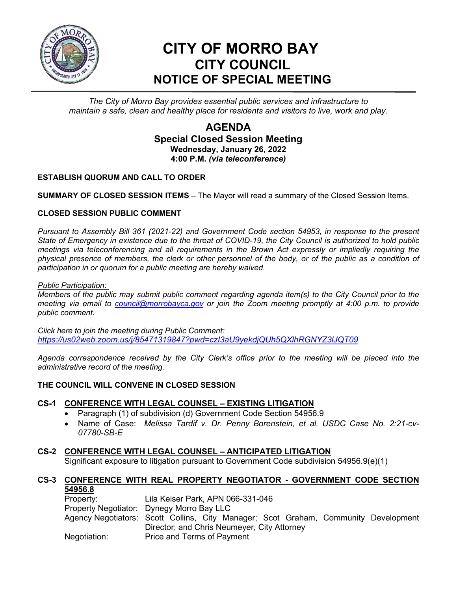

# **CITY OF MORRO BAY CITY COUNCIL NOTICE OF SPECIAL MEETING**

*The City of Morro Bay provides essential public services and infrastructure to maintain a safe, clean and healthy place for residents and visitors to live, work and play.*

## **AGENDA Special Closed Session Meeting Wednesday, January 26, 2022 4:00 P.M.** *(via teleconference)*

### **ESTABLISH QUORUM AND CALL TO ORDER**

**SUMMARY OF CLOSED SESSION ITEMS** – The Mayor will read a summary of the Closed Session Items.

#### **CLOSED SESSION PUBLIC COMMENT**

*Pursuant to Assembly Bill 361 (2021-22) and Government Code section 54953, in response to the present State of Emergency in existence due to the threat of COVID-19, the City Council is authorized to hold public meetings via teleconferencing and all requirements in the Brown Act expressly or impliedly requiring the physical presence of members, the clerk or other personnel of the body, or of the public as a condition of participation in or quorum for a public meeting are hereby waived.*

*Public Participation:* 

*Members of the public may submit public comment regarding agenda item(s) to the City Council prior to the meeting via email to [council@morrobayca.gov](mailto:council@morrobayca.gov) or join the Zoom meeting promptly at 4:00 p.m. to provide public comment.* 

*Click here to join the meeting during Public Comment: <https://us02web.zoom.us/j/85471319847?pwd=czI3aU9yekdjQUh5QXlhRGNYZ3lJQT09>*

*Agenda correspondence received by the City Clerk's office prior to the meeting will be placed into the administrative record of the meeting.*

#### **THE COUNCIL WILL CONVENE IN CLOSED SESSION**

#### **CS-1 CONFERENCE WITH LEGAL COUNSEL – EXISTING LITIGATION**

- Paragraph (1) of subdivision (d) Government Code Section 54956.9
- Name of Case: *Melissa Tardif v. Dr. Penny Borenstein, et al. USDC Case No. 2:21-cv-07780-SB-E*

#### **CS-2 CONFERENCE WITH LEGAL COUNSEL – ANTICIPATED LITIGATION**

Significant exposure to litigation pursuant to Government Code subdivision 54956.9(e)(1)

#### **CS-3 CONFERENCE WITH REAL PROPERTY NEGOTIATOR - GOVERNMENT CODE SECTION 54956.8**

| Property:    | Lila Keiser Park, APN 066-331-046                                                   |
|--------------|-------------------------------------------------------------------------------------|
|              | Property Negotiator: Dynegy Morro Bay LLC                                           |
|              | Agency Negotiators: Scott Collins, City Manager; Scot Graham, Community Development |
|              | Director; and Chris Neumeyer, City Attorney                                         |
| Negotiation: | Price and Terms of Payment                                                          |